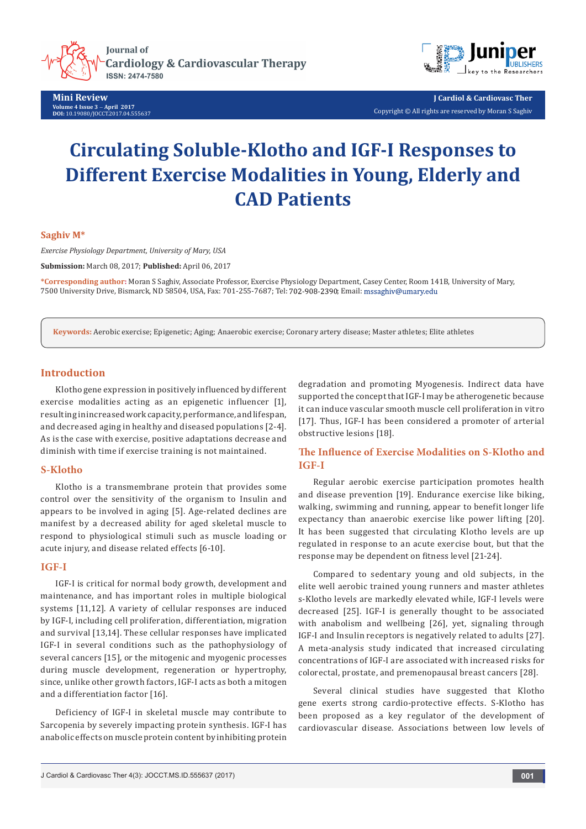

**Mini Review Volume 4 Issue 3** - **April 2017 DOI:** [10.19080/JOCCT.2017.04.555637](http://dx.doi.org/10.19080/JOCCT.2017.04.555637)



**J Cardiol & Cardiovasc Ther** Copyright © All rights are reserved by Moran S Saghiv

# **Circulating Soluble-Klotho and IGF-I Responses to Different Exercise Modalities in Young, Elderly and CAD Patients**

### **Saghiv M\***

*Exercise Physiology Department, University of Mary, USA*

**Submission:** March 08, 2017; **Published:** April 06, 2017

**\*Corresponding author:** Moran S Saghiv, Associate Professor, Exercise Physiology Department, Casey Center, Room 141B, University of Mary, 7500 University Drive, Bismarck, ND 58504, USA, Fax: 701-255-7687; Tel: 702-908-2390; Email: mssaghiv@umary.edu

**Keywords:** Aerobic exercise; Epigenetic; Aging; Anaerobic exercise; Coronary artery disease; Master athletes; Elite athletes

## **Introduction**

Klotho gene expression in positively influenced by different exercise modalities acting as an epigenetic influencer [1], resulting in increased work capacity, performance, and lifespan, and decreased aging in healthy and diseased populations [2-4]. As is the case with exercise, positive adaptations decrease and diminish with time if exercise training is not maintained.

## **S-Klotho**

Klotho is a transmembrane protein that provides some control over the sensitivity of the organism to Insulin and appears to be involved in aging [5]. Age-related declines are manifest by a decreased ability for aged skeletal muscle to respond to physiological stimuli such as muscle loading or acute injury, and disease related effects [6-10].

## **IGF-I**

IGF-I is critical for normal body growth, development and maintenance, and has important roles in multiple biological systems [11,12]. A variety of cellular responses are induced by IGF-I, including cell proliferation, differentiation, migration and survival [13,14]. These cellular responses have implicated IGF-I in several conditions such as the pathophysiology of several cancers [15], or the mitogenic and myogenic processes during muscle development, regeneration or hypertrophy, since, unlike other growth factors, IGF-I acts as both a mitogen and a differentiation factor [16].

Deficiency of IGF-I in skeletal muscle may contribute to Sarcopenia by severely impacting protein synthesis. IGF-I has anabolic effects on muscle protein content by inhibiting protein

degradation and promoting Myogenesis. Indirect data have supported the concept that IGF-I may be atherogenetic because it can induce vascular smooth muscle cell proliferation in vitro [17]. Thus, IGF-I has been considered a promoter of arterial obstructive lesions [18].

## **The Influence of Exercise Modalities on S-Klotho and IGF-I**

Regular aerobic exercise participation promotes health and disease prevention [19]. Endurance exercise like biking, walking, swimming and running, appear to benefit longer life expectancy than anaerobic exercise like power lifting [20]. It has been suggested that circulating Klotho levels are up regulated in response to an acute exercise bout, but that the response may be dependent on fitness level [21-24].

Compared to sedentary young and old subjects, in the elite well aerobic trained young runners and master athletes s-Klotho levels are markedly elevated while, IGF-I levels were decreased [25]. IGF-I is generally thought to be associated with anabolism and wellbeing [26], yet, signaling through IGF-I and Insulin receptors is negatively related to adults [27]. A meta-analysis study indicated that increased circulating concentrations of IGF-I are associated with increased risks for colorectal, prostate, and premenopausal breast cancers [28].

Several clinical studies have suggested that Klotho gene exerts strong cardio-protective effects. S-Klotho has been proposed as a key regulator of the development of cardiovascular disease. Associations between low levels of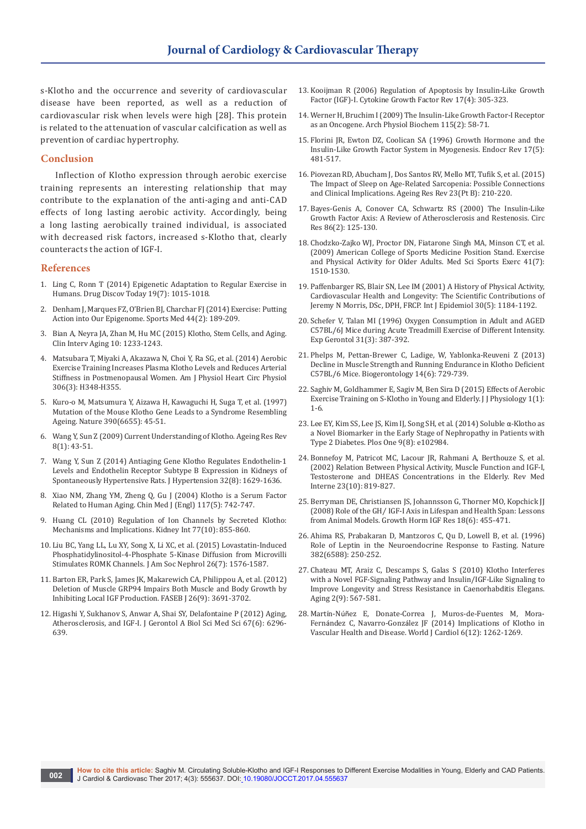s-Klotho and the occurrence and severity of cardiovascular disease have been reported, as well as a reduction of cardiovascular risk when levels were high [28]. This protein is related to the attenuation of vascular calcification as well as prevention of cardiac hypertrophy.

#### **Conclusion**

Inflection of Klotho expression through aerobic exercise training represents an interesting relationship that may contribute to the explanation of the anti-aging and anti-CAD effects of long lasting aerobic activity. Accordingly, being a long lasting aerobically trained individual, is associated with decreased risk factors, increased s-Klotho that, clearly counteracts the action of IGF-I.

### **References**

- 1. [Ling C, Ronn T \(2014\) Epigenetic Adaptation to Regular Exercise in](https://www.ncbi.nlm.nih.gov/pubmed/24632002)  [Humans. Drug Discov Today 19\(7\): 1015-1018.](https://www.ncbi.nlm.nih.gov/pubmed/24632002)
- 2. [Denham J, Marques FZ, O'Brien BJ, Charchar FJ \(2014\) Exercise: Putting](https://www.ncbi.nlm.nih.gov/pubmed/24163284)  [Action into Our Epigenome. Sports Med 44\(2\): 189-209.](https://www.ncbi.nlm.nih.gov/pubmed/24163284)
- 3. Bian A, Neyra JA, Zhan M, [Hu MC \(2015\) Klotho, Stem Cells, and Aging.](https://www.ncbi.nlm.nih.gov/pubmed/26346243)  [Clin Interv Aging 10: 1233-1243.](https://www.ncbi.nlm.nih.gov/pubmed/26346243)
- 4. [Matsubara T, Miyaki A, Akazawa N, Choi Y, Ra SG, et al. \(2014\) Aerobic](https://www.ncbi.nlm.nih.gov/pubmed/24322608)  [Exercise Training Increases Plasma Klotho Levels and Reduces Arterial](https://www.ncbi.nlm.nih.gov/pubmed/24322608)  [Stiffness in Postmenopausal Women. Am J Physiol Heart Circ Physiol](https://www.ncbi.nlm.nih.gov/pubmed/24322608)  [306\(3\): H348-H355.](https://www.ncbi.nlm.nih.gov/pubmed/24322608)
- 5. [Kuro-o M, Matsumura Y, Aizawa H, Kawaguchi H, Suga T, et al. \(1997\)](https://www.ncbi.nlm.nih.gov/pubmed/9363890)  [Mutation of the Mouse Klotho Gene Leads to a Syndrome Resembling](https://www.ncbi.nlm.nih.gov/pubmed/9363890)  [Ageing. Nature 390\(6655\): 45-51.](https://www.ncbi.nlm.nih.gov/pubmed/9363890)
- 6. [Wang Y, Sun Z \(2009\) Current Understanding of Klotho. Ageing Res Rev](https://www.ncbi.nlm.nih.gov/pubmed/19022406)  [8\(1\): 43-51.](https://www.ncbi.nlm.nih.gov/pubmed/19022406)
- 7. [Wang Y, Sun Z \(2014\) Antiaging Gene Klotho Regulates Endothelin-1](https://www.ncbi.nlm.nih.gov/pubmed/24979306)  [Levels and Endothelin Receptor Subtype B Expression in Kidneys of](https://www.ncbi.nlm.nih.gov/pubmed/24979306)  [Spontaneously Hypertensive Rats. J Hypertension 32\(8\): 1629-1636.](https://www.ncbi.nlm.nih.gov/pubmed/24979306)
- 8. [Xiao NM, Zhang YM, Zheng Q, Gu J \(2004\) Klotho is a Serum Factor](https://www.ncbi.nlm.nih.gov/pubmed/15161545)  [Related to Human Aging. Chin Med J \(Engl\) 117\(5\): 742-747.](https://www.ncbi.nlm.nih.gov/pubmed/15161545)
- 9. [Huang CL \(2010\) Regulation of Ion Channels by Secreted Klotho:](https://www.ncbi.nlm.nih.gov/pubmed/20375979)  [Mechanisms and Implications. Kidney Int 77\(10\): 855-860.](https://www.ncbi.nlm.nih.gov/pubmed/20375979)
- 10. Liu BC, Yang LL, Lu XY, Song X, Li XC, [et al. \(2015\) Lovastatin-Induced](https://www.ncbi.nlm.nih.gov/pubmed/25349201)  [Phosphatidylinositol-4-Phosphate 5-Kinase Diffusion from Microvilli](https://www.ncbi.nlm.nih.gov/pubmed/25349201)  Stimulates [ROMK Channels. J Am Soc Nephrol 26\(7\): 1576-1587.](https://www.ncbi.nlm.nih.gov/pubmed/25349201)
- 11. Barton ER, Park S, James JK, [Makarewich CA,](https://www.ncbi.nlm.nih.gov/pubmed/22649033) Philippou A, et al. (2012) [Deletion of Muscle GRP94 Impairs Both Muscle and Body Growth by](https://www.ncbi.nlm.nih.gov/pubmed/22649033)  [Inhibiting Local IGF Production. FASEB J 26\(9\): 3691-3702.](https://www.ncbi.nlm.nih.gov/pubmed/22649033)
- 12. [Higashi Y, Sukhanov S, Anwar A, Shai SY, Delafontaine P \(2012\) Aging,](https://www.ncbi.nlm.nih.gov/pubmed/22491965/)  [Atherosclerosis, and IGF-I. J Gerontol A Biol Sci Med Sci 67\(6\): 6296-](https://www.ncbi.nlm.nih.gov/pubmed/22491965/) [639.](https://www.ncbi.nlm.nih.gov/pubmed/22491965/)
- 13. [Kooijman R \(2006\) Regulation of Apoptosis by Insulin-Like Growth](https://www.ncbi.nlm.nih.gov/pubmed/16621671)  [Factor \(IGF\)-I. Cytokine Growth Factor Rev 17\(4\): 305-323.](https://www.ncbi.nlm.nih.gov/pubmed/16621671)
- 14. [Werner H, Bruchim I \(2009\) The Insulin-Like Growth Factor-I Receptor](https://www.ncbi.nlm.nih.gov/pubmed/19485702)  [as an Oncogene. Arch Physiol Biochem 115\(2\): 58-71.](https://www.ncbi.nlm.nih.gov/pubmed/19485702)
- 15. [Florini JR, Ewton DZ, Coolican SA \(1996\) Growth Hormone and the](https://www.ncbi.nlm.nih.gov/pubmed/8897022)  [Insulin-Like Growth Factor System in Myogenesis. Endocr Rev 17\(5\):](https://www.ncbi.nlm.nih.gov/pubmed/8897022)  [481-517.](https://www.ncbi.nlm.nih.gov/pubmed/8897022)
- 16. Piovezan RD, Abucham J, [Dos Santos RV,](https://www.ncbi.nlm.nih.gov/pubmed/26216211) Mello MT, Tufik S, et al. (2015) [The Impact of Sleep on Age-Related Sarcopenia: Possible Connections](https://www.ncbi.nlm.nih.gov/pubmed/26216211)  [and Clinical Implications. Ageing Res Rev 23\(Pt B\): 210-220.](https://www.ncbi.nlm.nih.gov/pubmed/26216211)
- 17. [Bayes-Genis A, Conover CA, Schwartz RS \(2000\) The Insulin-Like](https://www.ncbi.nlm.nih.gov/pubmed/10666406)  [Growth Factor Axis: A Review of Atherosclerosis and Restenosis. Circ](https://www.ncbi.nlm.nih.gov/pubmed/10666406)  [Res 86\(2\): 125-130.](https://www.ncbi.nlm.nih.gov/pubmed/10666406)
- 18. [Chodzko-Zajko WJ, Proctor DN, Fiatarone Singh MA, Minson CT, et al.](https://www.ncbi.nlm.nih.gov/pubmed/19516148)  [\(2009\) American College of Sports Medicine Position Stand. Exercise](https://www.ncbi.nlm.nih.gov/pubmed/19516148)  [and Physical Activity for Older Adults. Med Sci Sports Exerc 41\(7\):](https://www.ncbi.nlm.nih.gov/pubmed/19516148)  [1510-1530.](https://www.ncbi.nlm.nih.gov/pubmed/19516148)
- 19. Paffenbarger RS, Blair SN, [Lee IM \(2001\) A History of Physical Activity,](https://www.ncbi.nlm.nih.gov/pubmed/11689543)  [Cardiovascular Health and Longevity: The Scientific Contributions of](https://www.ncbi.nlm.nih.gov/pubmed/11689543)  [Jeremy N Morris, DSc, DPH, FRCP. Int J Epidemiol 30\(5\): 1184-1192.](https://www.ncbi.nlm.nih.gov/pubmed/11689543)
- 20. [Schefer V, Talan MI \(1996\) Oxygen Consumption in Adult and AGED](https://www.ncbi.nlm.nih.gov/pubmed/9415121)  [C57BL/6J Mice during Acute Treadmill Exercise of Different Intensity.](https://www.ncbi.nlm.nih.gov/pubmed/9415121)  [Exp Gerontol 31\(3\): 387-392.](https://www.ncbi.nlm.nih.gov/pubmed/9415121)
- 21. [Phelps M, Pettan-Brewer C, Ladige, W, Yablonka-Reuveni Z \(2013\)](https://www.ncbi.nlm.nih.gov/pubmed/24030242)  [Decline in Muscle Strength and Running Endurance in Klotho Deficient](https://www.ncbi.nlm.nih.gov/pubmed/24030242)  [C57BL/6 Mice. Biogerontology 14\(6\): 729-739.](https://www.ncbi.nlm.nih.gov/pubmed/24030242)
- 22. [Saghiv M, Goldhammer E, Sagiv M, Ben Sira D \(2015\) Effects of Aerobic](http://physiology.jacobspublishers.com/images/Physiology/J_J_Physiology_1_1_001.pdf)  [Exercise Training on S-Klotho in Young and Elderly. J J Physiology 1\(1\):](http://physiology.jacobspublishers.com/images/Physiology/J_J_Physiology_1_1_001.pdf)  [1-6.](http://physiology.jacobspublishers.com/images/Physiology/J_J_Physiology_1_1_001.pdf)
- 23. [Lee EY, Kim SS, Lee JS, Kim IJ, Song SH, et al. \(2014\) Soluble](https://www.ncbi.nlm.nih.gov/pubmed/25084095) α-Klotho as [a Novel Biomarker in the Early Stage of Nephropathy in Patients with](https://www.ncbi.nlm.nih.gov/pubmed/25084095)  [Type 2 Diabetes. Plos One 9\(8\): e102984.](https://www.ncbi.nlm.nih.gov/pubmed/25084095)
- 24. [Bonnefoy M, Patricot MC, Lacour JR, Rahmani A, Berthouze S, et al.](https://www.ncbi.nlm.nih.gov/pubmed/12428484)  [\(2002\) Relation Between Physical Activity, Muscle Function and IGF-I,](https://www.ncbi.nlm.nih.gov/pubmed/12428484)  [Testosterone and DHEAS Concentrations in the Elderly. Rev Med](https://www.ncbi.nlm.nih.gov/pubmed/12428484)  [Interne 23\(10\): 819-827.](https://www.ncbi.nlm.nih.gov/pubmed/12428484)
- 25. [Berryman DE, Christiansen JS, Johannsson G, Thorner MO, Kopchick JJ](https://www.ncbi.nlm.nih.gov/pubmed/18710818/)  [\(2008\) Role of the GH⁄ IGF-I Axis in Lifespan and Health Span: Lessons](https://www.ncbi.nlm.nih.gov/pubmed/18710818/)  [from Animal Models. Growth Horm IGF Res 18\(6\): 455-471.](https://www.ncbi.nlm.nih.gov/pubmed/18710818/)
- 26. Ahima RS, [Prabakaran D,](https://www.ncbi.nlm.nih.gov/pubmed/8717038) Mantzoros C, Qu D, Lowell B, et al. (1996) [Role of Leptin in the Neuroendocrine Response to Fasting. Nature](https://www.ncbi.nlm.nih.gov/pubmed/8717038)  [382\(6588\): 250-252.](https://www.ncbi.nlm.nih.gov/pubmed/8717038)
- 27. [Chateau MT, Araiz C, Descamps S, Galas S \(2010\) Klotho Interferes](https://www.ncbi.nlm.nih.gov/pubmed/20844315)  [with a Novel FGF-Signaling Pathway and Insulin/IGF-Like Signaling to](https://www.ncbi.nlm.nih.gov/pubmed/20844315)  [Improve Longevity and Stress Resistance in Caenorhabditis Elegans.](https://www.ncbi.nlm.nih.gov/pubmed/20844315)  [Aging 2\(9\): 567-581.](https://www.ncbi.nlm.nih.gov/pubmed/20844315)
- 28. Martín-Núñ[ez E, Donate-Correa J, Muros-de-Fuentes M, Mora-](https://www.ncbi.nlm.nih.gov/pubmed/25548616)Fernández C, Navarro-Gonzá[lez JF \(2014\) Implications of Klotho in](https://www.ncbi.nlm.nih.gov/pubmed/25548616)  [Vascular Health and Disease. World J Cardiol 6\(12\): 1262-1269.](https://www.ncbi.nlm.nih.gov/pubmed/25548616)